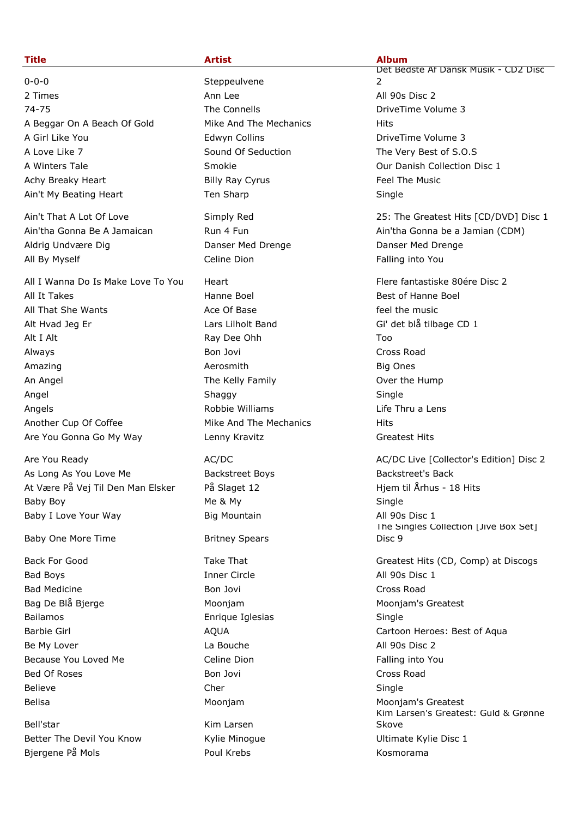0-0-0 Steppeulvene 2 Times **Ann Lee All 90s Disc 2** Ann Lee **All 90s Disc 2** 74-75 The Connells DriveTime Volume 3 A Beggar On A Beach Of Gold Mike And The Mechanics Hits A Girl Like You **Edwyn Collins Example 2** Collins **Example 2** Collins **Example 2** 2 Collins **A Colling 3** 2 Collins **2** 2 Collins **Example 2** 2 Collins **Example 2** 2 Collins **Example 2** 2 Collins **Example 2** 2 Collins **E** A Love Like 7 Sound Of Seduction The Very Best of S.O.S A Winters Tale Smokie Our Danish Collection Disc 1 Achy Breaky Heart **Example 28** Billy Ray Cyrus Feel The Music Ain't My Beating Heart Ten Sharp Ten Sharp Single

Aldrig Undvære Dig Danser Med Drenge Danser Med Drenge All By Myself **Celine Dion** Falling into You Celine Dion

All I Wanna Do Is Make Love To You Heart Flere fantastiske 80ére Disc 2 All It Takes **Hanne Boel** Hanne Boel **Best of Hanne Boel** Best of Hanne Boel All That She Wants **Ace Of Base Acce Of Base** feel the music Alt Hvad Jeg Er Lilholt Band Gi' det blå tilbage CD 1 Alt I Alt **Alt Ray Dee Ohh** Too Always Bon Jovi Cross Road Amazing **Amazing Aerosmith Big Ones Big Ones Big Ones** An Angel The Kelly Family Cover the Hump Angel Shaggy Single Angels **Angels Robbie Williams** Life Thru a Lens Another Cup Of Coffee Mike And The Mechanics Hits Are You Gonna Go My Way Lenny Kravitz Theorem Constants Greatest Hits

Are You Ready **AC/DC** AC/DC AC/DC AC/DC AC/DC Live [Collector's Edition] Disc 2 As Long As You Love Me Backstreet Boys Formula Backstreet's Backstreet's Backstreet's Back At Være På Vej Til Den Man Elsker På Slaget 12 Hymmun Hjem til Århus - 18 Hits Baby Boy Me & My Single Baby I Love Your Way **Big Mountain** Big Mountain All 90s Disc 1

Baby One More Time **Britney Spears** 

Bad Boys **Inner Circle All 90s Disc 1 Bad Medicine Cross Road Cross Road Cross Road Cross Road Cross Road Cross Road Cross Road Cross Road Cross Road** Bag De Blå Bjerge The Moonjam Moonjam Moonjam Moonjam Moonjam Moonjam's Greatest Bailamos **Enrique Iglesias** Single Barbie Girl **AQUA** Cartoon Heroes: Best of Aqua Be My Lover **La Bouche** La Bouche All 90s Disc 2 Because You Loved Me **Falling into You** Celine Dion Falling into You Bed Of Roses **Bon Jovi Cross Road Bon Jovi** Cross Road Believe Cher Single Belisa **Moonjam** Moonjam Moonjam Moonjam Moonjam Moonjam's Greatest

Bell'star Kim Larsen Better The Devil You Know **Kylie Minogue** Netter The Disc 1 Biergene På Mols **Biergene På Mols Poul Krebs Kosmorama** 

## **Title Artist Album**

Det Bedste Af Dansk Musik - CD2 Disc  $\overline{2}$ 

Ain't That A Lot Of Love Simply Red 25: The Greatest Hits [CD/DVD] Disc 1 Ain'tha Gonna Be A Jamaican **Run 4 Fundat Ainte Ain'tha Gonna be a Jamian (CDM)** 

The Singles Collection [Jive Box Set] Disc 9 Back For Good **Take That** Take That Greatest Hits (CD, Comp) at Discogs

Kim Larsen's Greatest: Guld & Grønne Skove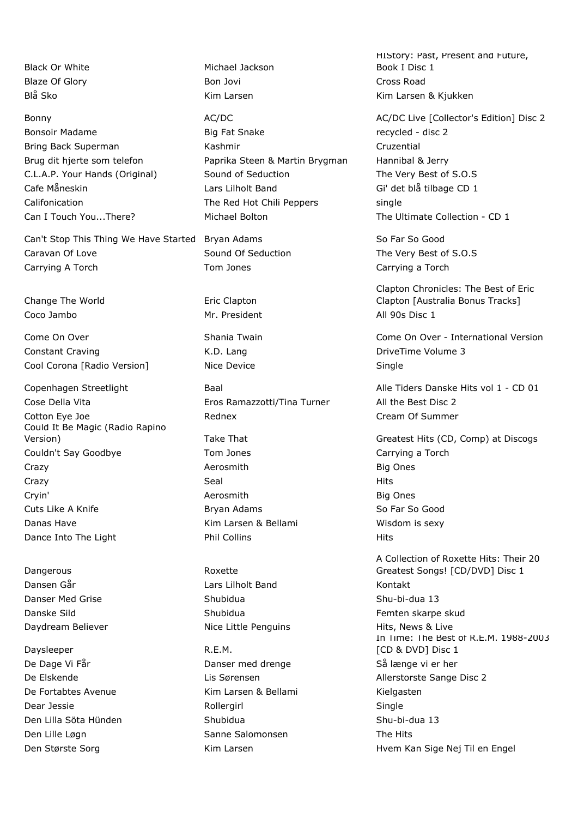Can't Stop This Thing We Have Started Bryan Adams So Far So Good Caravan Of Love **Sound Of Seduction** The Very Best of S.O.S Carrying A Torch Tom Jones Carrying a Torch Tom Jones Carrying a Torch Carrying a Torch

Change The World **Example 2** Eric Clapton Coco Jambo Mr. President All 90s Disc 1

Constant Craving The Constant Craving Constant Craving Constant Craving A.D. Lang Constant Craving 3 Cool Corona [Radio Version] Nice Device Number 2012 Single

Cose Della Vita Eros Ramazzotti/Tina Turner All the Best Disc 2 Cotton Eye Joe **Cotton Eye Joe Cream Of Summer** Rednex **Cream Of Summer** Could It Be Magic (Radio Rapino Couldn't Say Goodbye Tom Jones Tom Jones Carrying a Torch Crazy **Aerosmith** Big Ones **Aerosmith** Big Ones Crazy Seal Hits Cryin' Aerosmith Big Ones Cuts Like A Knife **Bryan Adams** Bryan Adams So Far So Good Danas Have **Kim Larsen & Bellami** Wisdom is sexy Dance Into The Light **Phil Collins** Phil Collins **Phil Collins** Hits

Dangerous Roxette Dansen Går Lars Lilholt Band Kontakt Danser Med Grise Shubidua Shu-bi-dua 13 Daydream Believer **Nice Little Penguins** Hits, News & Live

Daysleeper R.E.M. De Dage Vi Får Solle i Banser med drenge Så længe vi er her bere stattet Danser med drenge Så længe vi er her De Fortabtes Avenue The Richards Kim Larsen & Bellami The Theorem Kielgasten Dear Jessie and Single Single Single Rollergirl Single Single Den Lilla Söta Hünden Shubidua Shu-bi-dua 13 Den Lille Løgn Sanne Salomonsen The Hits

Black Or White Michael Jackson Blaze Of Glory Bon Jovi Cross Road

Bonsoir Madame **Big Fat Snake Big Fat Snake** recycled - disc 2 Bring Back Superman **Cruzential** Kashmir Cruzential Cruzential Brug dit hjerte som telefon **Paprika Steen & Martin Brygman** Hannibal & Jerry C.L.A.P. Your Hands (Original) Sound of Seduction The Very Best of S.O.S Cafe Måneskin Lars Lilholt Band Gi' det blå tilbage CD 1 Califonication The Red Hot Chili Peppers single Can I Touch You...There? The Ultimate Collection - CD 1

HIStory: Past, Present and Future, Book I Disc 1 Blå Sko Kim Larsen Kim Larsen & Kjukken

Bonny **AC/DC** AC/DC AC/DC AC/DC AC/DC AC/DC AC/DC Live [Collector's Edition] Disc 2

Clapton Chronicles: The Best of Eric Clapton [Australia Bonus Tracks]

Come On Over **Shania Twain Come On Over - International Version** Come On Over - International Version

Copenhagen Streetlight Baal Baal Alle Tiders Danske Hits vol 1 - CD 01

Version) Take That Greatest Hits (CD, Comp) at Discogs Greatest Hits (CD, Comp) at Discogs

A Collection of Roxette Hits: Their 20 Greatest Songs! [CD/DVD] Disc 1 Danske Sild **Shubidua** Shubidua **Shubidua** Femten skarpe skud In Time: The Best of R.E.M. 1988-2003 [CD & DVD] Disc 1 De Elskende Lis Sørensen Allerstorste Sange Disc 2 Den Største Sorg North Kim Larsen Mannes Hvem Kan Sige Nej Til en Engel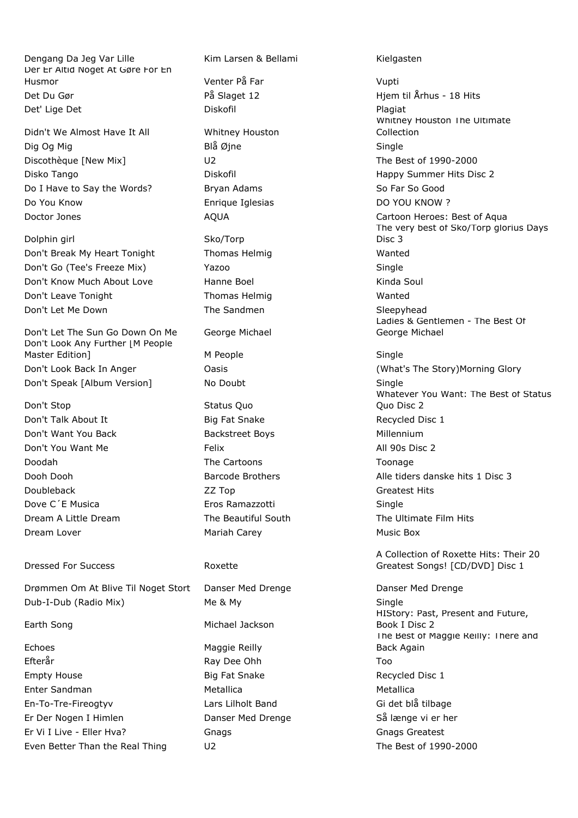Dengang Da Jeg Var Lille Kim Larsen & Bellami Kielgasten Der Er Altid Noget At Gøre For En Husmor Venter På Far Vupti Det Du Gør På Slaget 12 Hjem til Århus - 18 Hits Det' Lige Det North Controller and Diskofil Plagiat Plagiat Plagiat

Didn't We Almost Have It All Whitney Houston Dig Og Mig Single Single Single Single Single Single Single Single Single Single Single Discothèque [New Mix] U2 The Best of 1990-2000 Disko Tango Diskofil Happy Summer Hits Disc 2 Do I Have to Say the Words? Bryan Adams So Far So Good Do You Know **Enrique Iglesias** DO YOU KNOW ? Doctor Jones **AQUA** AQUA Cartoon Heroes: Best of Aqua

Dolphin girl Sko/Torp Don't Break My Heart Tonight Thomas Helmig Wanted Don't Go (Tee's Freeze Mix) Yazoo Single Don't Know Much About Love Hanne Boel Name Soul Rinda Soul Don't Leave Tonight Thomas Helmig Wanted Don't Let Me Down The Sandmen Sleepyhead

Don't Let The Sun Go Down On Me George Michael Don't Look Any Further [M People Master Edition] Meople Meople Single Don't Look Back In Anger **Oasis** Oasis **Container Containers (What's The Story)Morning Glory** Don't Speak [Album Version] No Doubt Single

Don't Stop Status Quo Don't Talk About It **Big Fat Snake** Big Fat Snake Recycled Disc 1 Don't Want You Back **Backstreet Boys** Backstreet Boys **Millennium** Don't You Want Me Felix All 90s Disc 2 Doodah The Cartoons Toonage Doubleback ZZ Top Greatest Hits Dove C'E Musica **Eros Ramazzotti** Eros Ramazzotti Single Dream A Little Dream The Beautiful South The Ultimate Film Hits Dream Lover **Mariah Carey** Mariah Carey **Music Box** Music Box

# Dressed For Success **Roxette**

Drømmen Om At Blive Til Noget Stort Danser Med Drenge New Danser Med Drenge Dub-I-Dub (Radio Mix) Me & My Single

Echoes Maggie Reilly Efterår Ray Dee Ohh Too Empty House **Big Fat Snake** Big Fat Snake Recycled Disc 1 Enter Sandman and Metallica and Metallica and Metallica En-To-Tre-Fireogtyv Lars Lilholt Band Gi det blå tilbage Er Der Nogen I Himlen Danser Med Drenge Så længe vi er her Er Vi I Live - Eller Hva? Gnags Gnags Greatest Even Better Than the Real Thing U2 U2 The Best of 1990-2000

Earth Song **Michael Jackson** 

Whitney Houston The Ultimate Collection The very best of Sko/Torp glorius Days Disc 3 Ladies & Gentlemen - The Best Of George Michael Whatever You Want: The Best of Status Quo Disc 2 Dooh Dooh **Barcode Brothers** Alle tiders danske hits 1 Disc 3

A Collection of Roxette Hits: Their 20 Greatest Songs! [CD/DVD] Disc 1

HIStory: Past, Present and Future, Book I Disc 2 The Best of Maggie Reilly: There and Back Again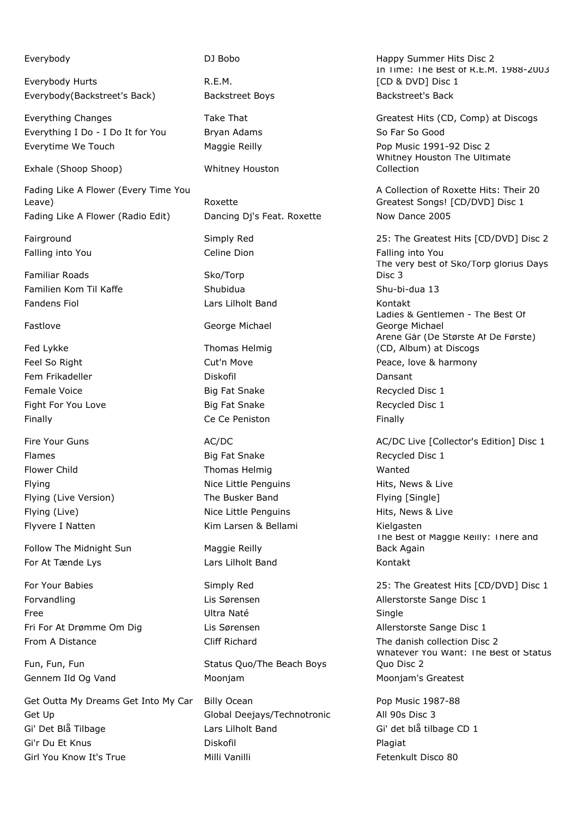Everybody Hurts **R.E.M.** Everybody(Backstreet's Back) Backstreet Boys Backstreet's Back

Everything I Do - I Do It for You Bryan Adams So Far So Good Everytime We Touch Maggie Reilly Pop Music 1991-92 Disc 2

Exhale (Shoop Shoop) Whitney Houston

Fading Like A Flower (Every Time You Leave) **Roxette** Fading Like A Flower (Radio Edit) Dancing Dj's Feat. Roxette Now Dance 2005

Familiar Roads Sko/Torp Familien Kom Til Kaffe Shubidua Shu-bi-dua 13 Fandens Fiol Lars Lilholt Band Kontakt

Fed Lykke Thomas Helmig Fem Frikadeller North Louis (Diskofil North Louis Cansant Female Voice **Big Fat Snake** Recycled Disc 1 Fight For You Love **Big Fat Snake** Recycled Disc 1 Finally **Finally Ce Ce Peniston Finally Finally** 

Follow The Midnight Sun Maggie Reilly For At Tænde Lys **Lars Lilholt Band** Kontakt

Forvandling The Lis Sørensen Allerstorste Sange Disc 1 Free Ultra Naté Single Fri For At Drømme Om Dig Lis Sørensen Allerstorste Sange Disc 1

Get Outta My Dreams Get Into My Car Billy Ocean Pop Music 1987-88 Global Deejays/Technotronic All 90s Disc 3 Gi' Det Blå Tilbage CD 1 Lars Lilholt Band Gi' det blå tilbage CD 1 Gi'r Du Et Knus **Diskofil Plagiat** Plagiat Plagiat Girl You Know It's True **Milli Vanilli** Vanilli Fetenkult Disco 80

Fastlove **George Michael** 

Flames **Big Fat Snake** Recycled Disc 1 Flower Child **Thomas Helmig** Wanted Wanted Flying **Nice Little Penguins** Hits, News & Live **Hits**, News & Live Flying (Live Version) The Busker Band Flying [Single] Flying (Live) **Nice Little Penguins** Hits, News & Live Flyvere I Natten Kim Larsen & Bellami Kielgasten Kielgasten Kielgasten Kielgasten Kielgasten Kielgasten Kielgasten Kielgasten Kielgasten Kielgasten Kielgasten Kielgasten Kielgasten Kielgasten Kielgasten Kielgasten Kielgast

Fun, Fun, Fun Status Quo/The Beach Boys Gennem Ild Og Vand **Mooniam** Moonjam Moonjam Moonjam Moonjam's Greatest

Everybody **Exerybody DJ Bobo DJ Bobo** Happy Summer Hits Disc 2 In Time: The Best of R.E.M. 1988-2003 [CD & DVD] Disc 1

Everything Changes Take That Greatest Hits (CD, Comp) at Discogs Whitney Houston The Ultimate Collection

> A Collection of Roxette Hits: Their 20 Greatest Songs! [CD/DVD] Disc 1

Fairground **Example 25: The Greatest Hits [CD/DVD]** Disc 2 Falling into You **Falling into You** Celine Dion Falling into You The very best of Sko/Torp glorius Days Disc 3 Ladies & Gentlemen - The Best Of George Michael Årene Går (De Største Af De Første) (CD, Album) at Discogs Feel So Right **Cut'n Move Cution** Cutton Account **Peace, love & harmony** 

Fire Your Guns **AC/DC** AC/DC AC/DC AC/DC AC/DC Live [Collector's Edition] Disc 1 The Best of Maggie Reilly: There and Back Again

For Your Babies Simply Red 25: The Greatest Hits [CD/DVD] Disc 1 From A Distance The Cliff Richard The danish collection Disc 2 Whatever You Want: The Best of Status Quo Disc 2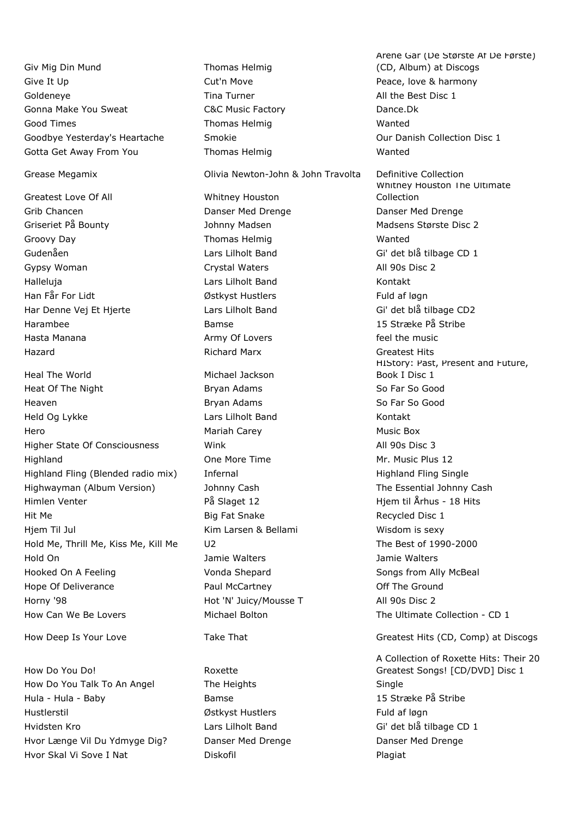Giv Mig Din Mund Thomas Helmig Give It Up **Cut'n Move Cution** Move **Peace, love & harmony** Goldeneye **Tima Turner** The Turner All the Best Disc 1 Gonna Make You Sweat **C&C Music Factory C&C Music Factory** Good Times **Thomas Helmig Wanted** Wanted Goodbye Yesterday's Heartache Smokie Smokie Controllection Disc 1 Gotta Get Away From You **Thomas Helmig** Thomas Helmig Wanted

Greatest Love Of All Whitney Houston Grib Chancen Danser Med Drenge Danser Med Drenge Griseriet På Bounty The Madsen Madsen Madsen Madsens Største Disc 2 Groovy Day **Thomas Helmig** Wanted Gudenåen Communication Lars Lilholt Band Gi' det blå tilbage CD 1 Gypsy Woman Crystal Waters **All 90s Disc 2** Halleluja Lars Lilholt Band Kontakt Han Får For Lidt **Guide External Formula** Østkyst Hustlers **Fuld af løgn** Har Denne Vej Et Hjerte Lars Lilholt Band Gi' det blå tilbage CD2 Harambee Bamse 15 Stræke På Stribe Hasta Manana **Army Of Lovers** Feel the music Hazard Richard Marx Greatest Hits

Heal The World **Michael Jackson** Heat Of The Night **Bryan Adams** Bryan Adams So Far So Good Heaven **Bryan Adams** So Far So Good **Bryan Adams** So Far So Good Held Og Lykke Lars Lilholt Band Kontakt Hero Mariah Carey Music Box Higher State Of Consciousness Mink Mink All 90s Disc 3 Highland One More Time Mr. Music Plus 12 Highland Fling (Blended radio mix) Infernal Highland Highland Fling Single Highwayman (Album Version) Johnny Cash The Essential Johnny Cash Himlen Venter The Staget 12 Himlen Venter 18 Hits Christian På Slaget 12 Himlen Venter 18 Hits Hit Me **Big Fat Snake** Recycled Disc 1 Hjem Til Jul Kim Larsen & Bellami Wisdom is sexy Hold Me, Thrill Me, Kiss Me, Kill Me U2 The Best of 1990-2000 Hold On Jamie Walters Jamie Walters Hooked On A Feeling The Songs from Ally McBeal Vonda Shepard Songs from Ally McBeal Hope Of Deliverance **Paul McCartney Paul McCartney Paul McCartney** Off The Ground Horny '98 **Hot 'N' Juicy/Mousse T** All 90s Disc 2 How Can We Be Lovers Michael Bolton The Ultimate Collection - CD 1

How Do You Do! Roxette How Do You Talk To An Angel The Heights Single Hula - Hula - Baby Bamse 15 Stræke På Stribe Hustlerstil **Manufathers** Østkyst Hustlers **Fuld af løgn** Hvidsten Kro **Charlace CD** 1 Lars Lilholt Band Gi' det blå tilbage CD 1 Hvor Længe Vil Du Ydmyge Dig? Danser Med Drenge Danser Med Drenge Hvor Skal Vi Sove I Nat The Research Diskofil Plagiat Plagiat

Grease Megamix Olivia Newton-John & John Travolta Definitive Collection

Årene Går (De Største Af De Første) (CD, Album) at Discogs Whitney Houston The Ultimate Collection HIStory: Past, Present and Future, Book I Disc 1

How Deep Is Your Love Take That Greatest Hits (CD, Comp) at Discogs

A Collection of Roxette Hits: Their 20 Greatest Songs! [CD/DVD] Disc 1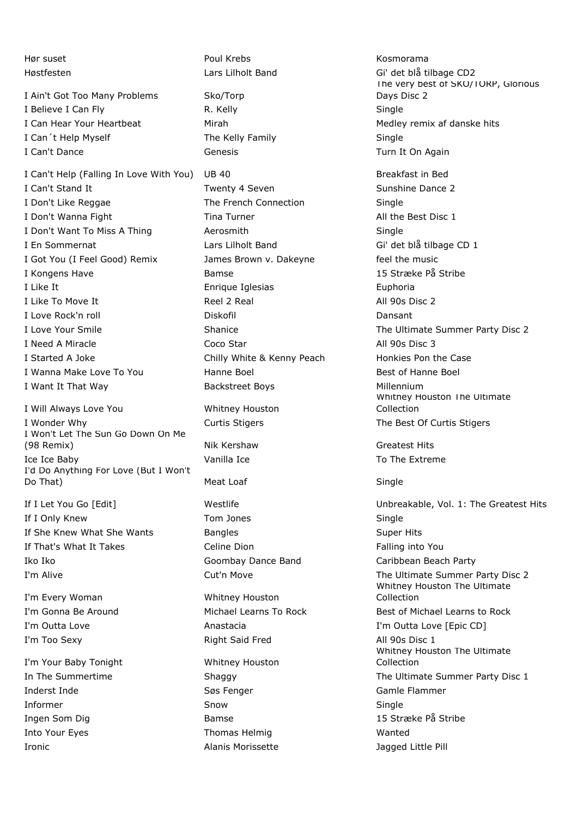I Ain't Got Too Many Problems Sko/Torp I Believe I Can Fly Single New York R. Kelly Single Single I Can Hear Your Heartbeat Mirah Mirah Medley remix af danske hits I Can't Help Myself The Kelly Family Single I Can't Dance **Genesis** Genesis Turn It On Again

I Can't Help (Falling In Love With You) UB 40 Breakfast in Bed I Can't Stand It **Twenty 4 Seven** Sunshine Dance 2 I Don't Like Reggae The French Connection Single I Don't Wanna Fight Tina Turner Tina Turner All the Best Disc 1 I Don't Want To Miss A Thing Aerosmith Aerosmith I En Sommernat and Lars Lilholt Band Gi' det blå tilbage CD 1 I Got You (I Feel Good) Remix James Brown v. Dakeyne feel the music I Kongens Have 15 Stribe 15 Stræke På Stribe 15 Stræke På Stribe 15 Stræke På Stribe 15 Str I Like It **Enrique Iglesias** Euphoria I Like To Move It **Reel 2 Real All 90s Disc 2** I Love Rock'n roll **Diskofil** Diskofil Dansant I Love Your Smile **Shanice** Shanice **Shanice** The Ultimate Summer Party Disc 2 I Need A Miracle **Coco Star All 90s Disc 3** I Started A Joke **Chilly White & Kenny Peach** Honkies Pon the Case I Wanna Make Love To You **Hanne Boel** Boel **Best of Hanne Boel** Best of Hanne Boel I Want It That Way **Backstreet Boys Millennium** 

I Will Always Love You Whitney Houston I Wonder Why **Curtis Stigers** Curtis Stigers The Best Of Curtis Stigers I Won't Let The Sun Go Down On Me (98 Remix) Nik Kershaw Greatest Hits Ice Ice Baby **Vanilla Ice** To The Extreme I'd Do Anything For Love (But I Won't Do That) **Meat Loaf** Single

If I Only Knew Tom Jones Single If She Knew What She Wants Bangles **Bangles** Super Hits If That's What It Takes Celine Dion Communication Falling into You Iko Iko Goombay Dance Band Caribbean Beach Party

I'm Every Woman Whitney Houston I'm Too Sexy **All 90s Disc 1** Right Said Fred All 90s Disc 1

I'm Your Baby Tonight Whitney Houston Inderst Inde Søs Fenger Gamle Flammer Informer Snow Single Ingen Som Dig 15 Stræke På Stribe Into Your Eyes Thomas Helmig Wanted Ironic Alanis Morissette Jagged Little Pill

Hør suset North Communist Communist Poul Krebs North Communist Communist Communist Communist Communist Communist Communist Communist Communist Communist Communist Communist Communist Communist Communist Communist Communist

Høstfesten Lars Lilholt Band Gi' det blå tilbage CD2 The very best of SKO/TORP, Glorious Days Disc 2

> Whitney Houston The Ultimate Collection

If I Let You Go [Edit] The Unbreakable, Vol. 1: The Greatest Hits I'm Alive **The Ultimate Summer Party Disc 2** Cut'n Move **The Ultimate Summer Party Disc 2** Whitney Houston The Ultimate Collection I'm Gonna Be Around Michael Learns To Rock Best of Michael Learns to Rock I'm Outta Love **Anastacia** Anastacia I'm Outta Love [Epic CD] Whitney Houston The Ultimate Collection In The Summertime The Shaggy Shaggy The Ultimate Summer Party Disc 1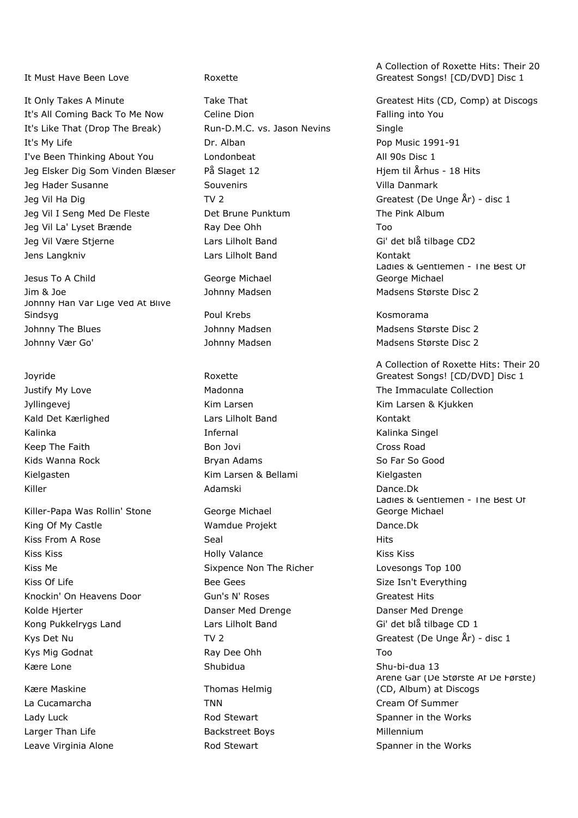It Must Have Been Love **Roxette** 

It's All Coming Back To Me Now Celine Dion Falling into You It's Like That (Drop The Break) Run-D.M.C. vs. Jason Nevins Single It's My Life **Dr. Alban** Dr. Alban Pop Music 1991-91 I've Been Thinking About You Londonbeat All 90s Disc 1 Jeg Elsker Dig Som Vinden Blæser På Slaget 12 Hjem til Århus - 18 Hits Jeg Hader Susanne Souvenirs Souvenirs Souvenirs Villa Danmark Jeg Vil Ha Dig TV 2 TV 2 Greatest (De Unge År) - disc 1 Jeg Vil I Seng Med De Fleste Det Brune Punktum The Pink Album Jeg Vil La' Lyset Brænde **Ray Dee Ohh Too Ray Dee Ohh** Jeg Vil Være Stjerne Lars Lilholt Band Gi' det blå tilbage CD2 Jens Langkniv Lars Lilholt Band Kontakt

Jesus To A Child George Michael Jim & Joe **Madsen** Johnny Madsen Madsen Madsens Største Disc 2 Johnny Han Var Lige Ved At Blive Sindsyg **Communist Communist Communist Communist Communist Communist Communist Communist Communist Communist Communist Communist Communist Communist Communist Communist Communist Communist Communist Communist Communist Com** Johnny The Blues **Mathem Madsen** Johnny Madsen Madsens Største Disc 2 Johnny Vær Go' Sand Hohnny Madsen Madsen Madsens Største Disc 2

Joyride Roxette

Killer-Papa Was Rollin' Stone George Michael King Of My Castle **Wamdue Projekt** Dance.Dk Kiss From A Rose Seal Seal Niss From A Rose Seal All the Seal Hits Kiss Kiss Holly Valance Kiss Kiss Kiss Me **Sixpence Non The Richer** Lovesongs Top 100 Kiss Of Life Secretary Materials (Size Isn't Everything Size Isn't Everything Size Isn't Everything Knockin' On Heavens Door Gun's N' Roses Greatest Hits Greatest Hits Kolde Hjerter The Collection Control Danser Med Drenge Collection Danser Med Drenge Danser Med Drenge Kong Pukkelrygs Land **Lars Lilholt Band** Gi' det blå tilbage CD 1 Kys Mig Godnat Ray Dee Ohh Too Kære Lone Controller Shubidua Shu-bi-dua 13

Kære Maskine Thomas Helmig La Cucamarcha **TNN** TNN Cream Of Summer Larger Than Life **Backstreet Boys** Backstreet Boys **Millennium** Leave Virginia Alone **Rod Stewart** Along Spanner in the Works

Kald Det Kærlighed **Lars Lilholt Band** Kontakt Kalinka **Infernal** Infernal Charles Kalinka Singel Keep The Faith **Bon Jovi Cross Road** Cross Road Cross Road Cross Road Cross Road Cross Road Cross Road Cross Road Kids Wanna Rock **Bryan Adams** Bryan Adams So Far So Good Kielgasten Kim Larsen & Bellami Kielgasten Kielgasten Kielgasten Kielgasten Kielgasten Kielgasten Kielgasten Kielgasten Kielgasten Kielgasten Kielgasten Kielgasten Kielgasten Kielgasten Kielgasten Kielgasten Kielgasten Kie Killer Adamski Dance.Dk

A Collection of Roxette Hits: Their 20 Greatest Songs! [CD/DVD] Disc 1

It Only Takes A Minute Take That Take That Greatest Hits (CD, Comp) at Discogs Ladies & Gentlemen - The Best Of George Michael

A Collection of Roxette Hits: Their 20 Greatest Songs! [CD/DVD] Disc 1 Justify My Love **Madonna** Madonna The Immaculate Collection Jyllingevej Kim Larsen Kim Larsen & Kjukken Ladies & Gentlemen - The Best Of George Michael Kys Det Nu Communication Communication Communication Communication Createst (De Unge År) - disc 1 Årene Går (De Største Af De Første) (CD, Album) at Discogs Lady Luck **Rod Stewart** Charles Assembly Charles Advantagement in the Works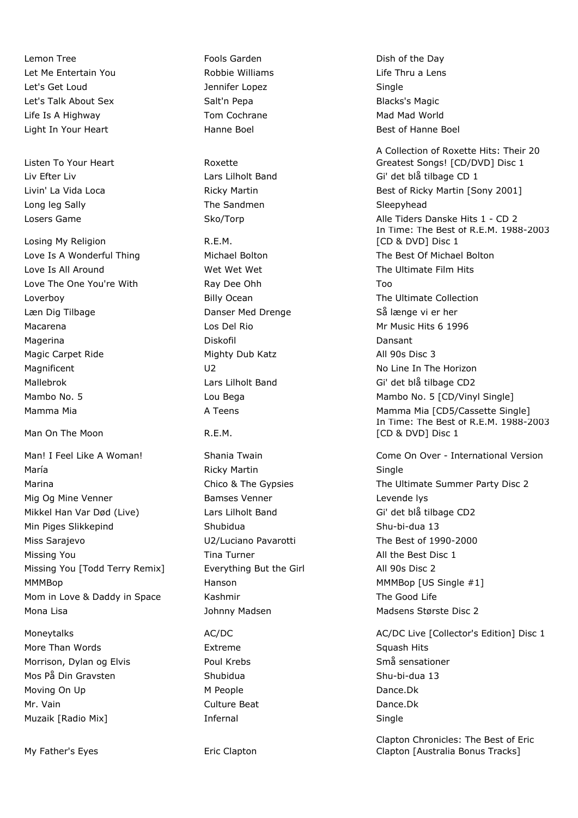Lemon Tree **Fools Garden Fools Garden Dish of the Day** Let Me Entertain You **Robbie Williams** Life Thru a Lens Let's Get Loud Jennifer Lopez Single Let's Talk About Sex **Salt'n Pepa** Salt'n Pepa Blacks's Magic Life Is A Highway **Tom Cochrane** Mad Mad World Mad World Light In Your Heart **Hanne Boel** Hanne Boel **Best of Hanne Boel** 

Listen To Your Heart **Roxette** Long leg Sally **Sleepyhead** The Sandmen Sleepyhead Sleepyhead

Losing My Religion **R.E.M.** Love Is All Around The Ultimate Film Hits Wet Wet Wet Wet The Ultimate Film Hits Love The One You're With **Ray Dee Ohh Too** Loverboy **Example 2** Billy Ocean The Ultimate Collection Læn Dig Tilbage The Danser Med Drenge Så længe vi er her Macarena **Macarena** Los Del Rio Mr Music Hits 6 1996 Magerina Diskofil Dansant Magic Carpet Ride **Mighty Dub Katz** All 90s Disc 3 Magnificent Magnificent COV COVERNISHED U2 No Line In The Horizon Mallebrok Lars Lilholt Band Gi' det blå tilbage CD2

Man On The Moon New York R.E.M.

Man! I Feel Like A Woman! Shania Twain Come On Over - International Version María **Martin Single Single** Ricky Martin Single Single Mig Og Mine Venner Bamses Venner Levende lys Mikkel Han Var Død (Live) Lars Lilholt Band Gi' det blå tilbage CD2 Min Piges Slikkepind Shubidua Shu-bi-dua 13 Miss Sarajevo U2/Luciano Pavarotti The Best of 1990-2000 Missing You **Tina Turner** All the Best Disc 1 Missing You [Todd Terry Remix] Everything But the Girl All 90s Disc 2 MMMBop **Hanson** Hanson MMMBop [US Single #1] Mom in Love & Daddy in Space Kashmir The Good Life Mona Lisa **Magnetic Største Disc 2** Johnny Madsen Magnetic Magnetic Disc 2

More Than Words **Extreme** Extreme Squash Hits Squash Hits Morrison, Dylan og Elvis **Northerman Smån sensationer** Poul Krebs Smån sensationer Mos På Din Gravsten Shubidua Shu-bi-dua 13 Moving On Up M Not also M People November 2012 Dance.Dk Mr. Vain Culture Beat Dance.Dk Muzaik [Radio Mix] **Infernal** Single Single Single

My Father's Eyes **Example 20 Find Clapton** 

A Collection of Roxette Hits: Their 20 Greatest Songs! [CD/DVD] Disc 1 Liv Efter Liv Controller Lars Lilholt Band Gi' det blå tilbage CD 1 Livin' La Vida Loca Ricky Martin Best of Ricky Martin [Sony 2001] Losers Game Sko/Torp Sko/Torp Alle Tiders Danske Hits 1 - CD 2 In Time: The Best of R.E.M. 1988-2003 [CD & DVD] Disc 1 Love Is A Wonderful Thing The Bolton Michael Bolton The Best Of Michael Bolton Cover The Best Of Michael Bolton Mambo No. 5 **Mambo No. 5** Lou Bega Mambo No. 5 [CD/Vinyl Single] Mamma Mia **Mamma Mia A Teens** A Teens Mamma Mia [CD5/Cassette Single] In Time: The Best of R.E.M. 1988-2003 [CD & DVD] Disc 1

Marina Marina Chico & The Gypsies The Ultimate Summer Party Disc 2

Moneytalks **AC/DC** AC/DC AC/DC AC/DC AC/DC AC/DC Live [Collector's Edition] Disc 1

Clapton Chronicles: The Best of Eric Clapton [Australia Bonus Tracks]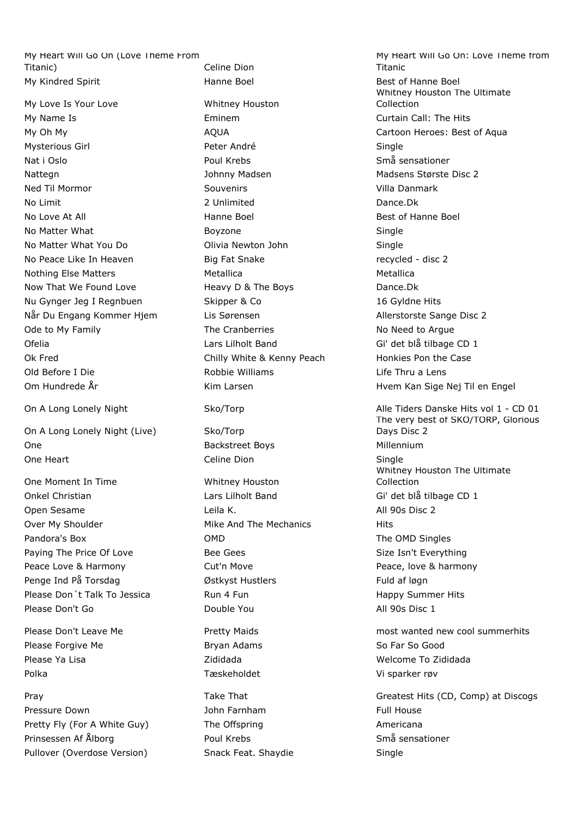My Heart Will Go On (Love Theme From Titanic) Celine Dion My Kindred Spirit **Hanne Boel** Hanne Boel Best of Hanne Boel

My Love Is Your Love Whitney Houston My Name Is Eminem Curtain Call: The Hits Mysterious Girl **Peter André** Communister André Single Nat i Oslo Poul Krebs Små sensationer Nattegn Johnny Madsen Madsen Madsens Største Disc 2 Ned Til Mormor Souvenirs Villa Danmark No Limit 2 Unlimited Dance.Dk No Love At All **Hanne Boel** Hanne Boel **Best of Hanne Boel** Best of Hanne Boel No Matter What **Boyzone Single** Single No Matter What You Do Olivia Newton John Single No Peace Like In Heaven **Big Fat Snake** Fat Snake recycled - disc 2 Nothing Else Matters **Metallica** Metallica Metallica Metallica Now That We Found Love **Heavy D & The Boys** Dance.Dk Nu Gynger Jeg I Regnbuen Skipper & Co 16 Gyldne Hits Når Du Engang Kommer Hjem Lis Sørensen Marian Allerstorste Sange Disc 2 Ode to My Family **The Cranberries** The Cranberries No Need to Argue Ofelia Lars Lilholt Band Gi' det blå tilbage CD 1 Ok Fred Chilly White & Kenny Peach Honkies Pon the Case Old Before I Die Robbie Williams Life Thru a Lens

On A Long Lonely Night (Live) Sko/Torp One **Backstreet Boys** Backstreet Boys **Millennium** One Heart **Celine Dion** Celine Dion Single

One Moment In Time Whitney Houston Onkel Christian and Lars Lilholt Band Gi' det blå tilbage CD 1 Open Sesame **Leila K.** All 90s Disc 2 Over My Shoulder **Mike And The Mechanics** Hits Pandora's Box **OMD** OMD The OMD Singles Paying The Price Of Love **Bee Gees** Beer Size Isn't Everything Peace Love & Harmony **Cut'n Move Peace, love & harmony** Penge Ind På Torsdag **Full af løgn var Mostkyst Hustlers** Full af løgn Full af løgn Please Don't Talk To Jessica **Run 4 Fundament Container Hits** Happy Summer Hits Please Don't Go **Double You All 90s Disc 1** 

Please Forgive Me **Bryan Adams** Bryan Adams **So Far So Good** Please Ya Lisa New York New York 21 Zididada New York 2014 - Welcome To Zididada Polka Tæskeholdet Vi sparker røv

Pressure Down **Full House** John Farnham **Full House** Full House Pretty Fly (For A White Guy) The Offspring The Structure Americana Prinsessen Af Ålborg **Poul Krebs** Poul Krebs Små sensationer Pullover (Overdose Version) Snack Feat. Shaydie Single

My Heart Will Go On: Love Theme from Titanic Whitney Houston The Ultimate Collection My Oh My **AQUA** AQUA Cartoon Heroes: Best of Aqua Om Hundrede År Kim Larsen Hvem Kan Sige Nej Til en Engel On A Long Lonely Night Sko/Torp Sko/Torp Alle Tiders Danske Hits vol 1 - CD 01 The very best of SKO/TORP, Glorious Days Disc 2 Whitney Houston The Ultimate Collection

Please Don't Leave Me **Pretty Maids** Measurement of the Section Art and the Please Don't Leave Measurement Pretty Maids

Pray Take That Greatest Hits (CD, Comp) at Discogs Greatest Hits (CD, Comp) at Discogs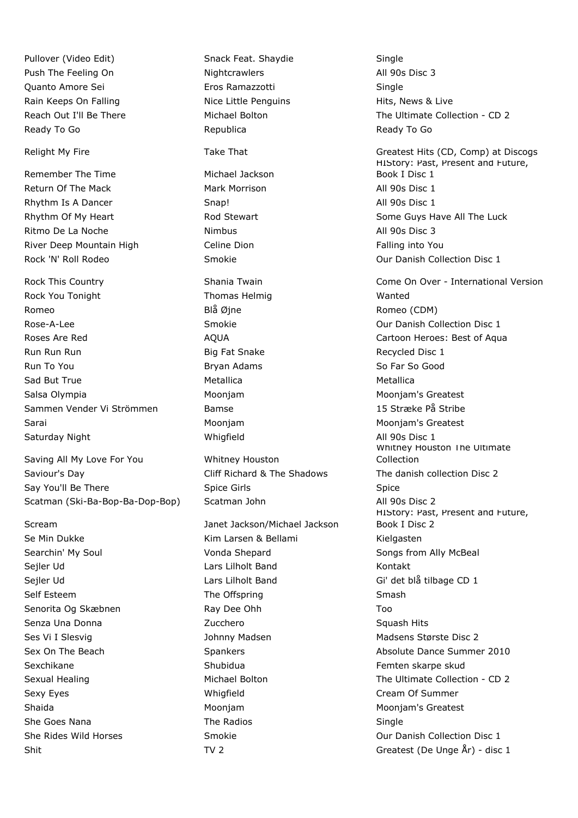Push The Feeling On **Nightcrawlers** All 90s Disc 3 Quanto Amore Sei Eros Ramazzotti Single Rain Keeps On Falling Nice Little Penguins The Hits, News & Live Ready To Go **Republica** Republica Ready To Go Ready To Go Ready To Go Ready To Go Ready To Go

Remember The Time **Michael Jackson** Return Of The Mack **Mark Morrison** Mark Morrison **All 90s Disc 1** Rhythm Is A Dancer **Snap!** All 90s Disc 1 Ritmo De La Noche **Nimbus** All 90s Disc 3 River Deep Mountain High Celine Dion Falling into You

Rock You Tonight Thomas Helmig Wanted Romeo Blå Øjne Romeo (CDM) Rose-A-Lee **Smokie Collection Disc 1** Smokie **Collection Disc 1** Our Danish Collection Disc 1 Run Run Run Big Fat Snake Recycled Disc 1 Run To You **Bryan Adams** So Far So Good Bryan Adams So Far So Good Sad But True **Metallica** Metallica **Metallica** Metallica Salsa Olympia **Mooniam** Moonjam Moonjam Moonjam Moonjam's Greatest Sammen Vender Vi Strömmen Bamse 15 Stræke På Stribe Sarai Moonjam Moonjam's Greatest Saturday Night **All 90s Disc 1** Migfield All 90s Disc 1

Saving All My Love For You Whitney Houston Saviour's Day **Saviour's Day** Cliff Richard & The Shadows The danish collection Disc 2 Say You'll Be There Spice Girls Spice Girls Spice Spice Spice Spice Spice Spice Spice Scatman (Ski-Ba-Bop-Ba-Dop-Bop) Scatman John All 90s Disc 2

Se Min Dukke Kim Larsen & Bellami Kielgasten Kielgasten Searchin' My Soul **Soul** Vonda Shepard Songs from Ally McBeal Sejler Ud Lars Lilholt Band Kontakt Sejler Ud Lars Lilholt Band Gi' det blå tilbage CD 1 Self Esteem The Offspring Smash Smash Senorita Og Skæbnen Ray Dee Ohh Too Senza Una Donna **Santa Caractero State Contracter** Caractero Squash Hits Ses Vi I Slesvig and Madsen Madsen Madsen Madsens Største Disc 2 Sexchikane Shubidua Femten skarpe skud Sexy Eyes **Sexy Eyes Cream Of Summer** Whigfield **Cream Of Summer Cream Of Summer** Shaida Moonjam Moonjam's Greatest She Goes Nana The Radios Single

Pullover (Video Edit) Snack Feat. Shaydie Single Scream Janet Jackson/Michael Jackson

Reach Out I'll Be There The Michael Bolton The Ultimate Collection - CD 2 Relight My Fire Take That Take That Greatest Hits (CD, Comp) at Discogs HIStory: Past, Present and Future, Book I Disc 1 Rhythm Of My Heart **Rod Stewart** Rod Stewart Some Guys Have All The Luck Rock 'N' Roll Rodeo **Smokie Collection Disc 1** Collection Disc 1 Rock This Country **Shania Twain** Come On Over - International Version Roses Are Red **AQUA** Cartoon Heroes: Best of Aqua Whitney Houston The Ultimate Collection HIStory: Past, Present and Future, Book I Disc 2 Sex On The Beach Spankers Spankers Absolute Dance Summer 2010 Sexual Healing The Ultimate Collection - CD 2 She Rides Wild Horses Smokie Smokie Collection Disc 1 Shit Shit TV 2 Greatest (De Unge  $\hat{A}$ r) - disc 1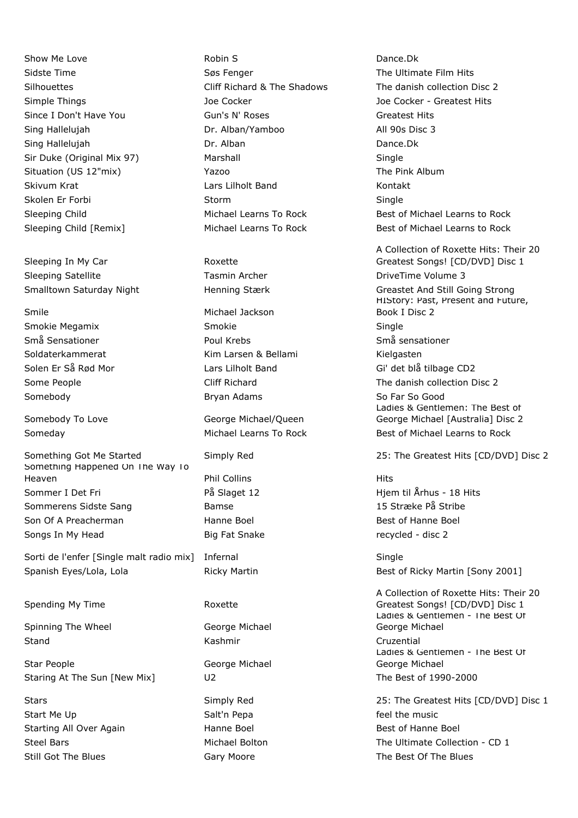Sleeping In My Car **Roxette** Sleeping Satellite Tasmin Archer Tasmin Archer DriveTime Volume 3

Something Happened On The Way To Heaven **Phil Collins Hits** Sommer I Det Fri **Example 2** På Slaget 12 Hjem til Århus - 18 Hits Sommerens Sidste Sang Bamse 15 Stræke På Stribe Son Of A Preacherman 
Best of Hanne Boel and Boel and Boel and Best of Hanne Boel Songs In My Head **Big Fat Snake** Fat Snake recycled - disc 2

Sorti de l'enfer [Single malt radio mix] Infernal Sorti de l'enfernal Single Spanish Eyes/Lola, Lola **Ricky Martin Best of Ricky Martin [Sony 2001**]

Spending My Time **Roxette** 

Spinning The Wheel George Michael Stand Cruzential Cruzential Cruzential Cruzential Cruzential

Star People **George Michael** Staring At The Sun [New Mix] U2 U2 The Best of 1990-2000

Start Me Up **Salt'n Pepa** Salt'n Pepa **Feel the music** Start Me Up Starting All Over Again **Hanne Boel** Hanne Boel Best of Hanne Boel Still Got The Blues **Gary Moore** Gary Moore The Best Of The Blues

Show Me Love **Robin S** Robin S **Dance.Dk Dance.Dk** Sidste Time The Ultimate Film Hits Søs Fenger The Ultimate Film Hits Simple Things Joe Cocker Joe Cocker - Greatest Hits Since I Don't Have You **Gun's N' Roses** Greatest Hits Greatest Hits Sing Hallelujah Dr. Alban/Yamboo All 90s Disc 3 Sing Hallelujah Dr. Alban Dance.Dk Sir Duke (Original Mix 97) Marshall Single Single Situation (US 12"mix) The Pink Album Yazoo The Pink Album Skivum Krat Lars Lilholt Band Kontakt Skolen Er Forbi Storm Storm Storm Single

Smile Michael Jackson Smokie Megamix Smokie Single Små Sensationer Poul Krebs Små sensationer Soldaterkammerat Kim Larsen & Bellami Kielgasten Somebody **Bryan Adams** Bryan Adams So Far So Good

Somebody To Love George Michael/Queen

Silhouettes **Cliff Richard & The Shadows** The danish collection Disc 2 Sleeping Child **Sleeping Child** Michael Learns To Rock Best of Michael Learns to Rock Sleeping Child [Remix] Michael Learns To Rock Best of Michael Learns to Rock

A Collection of Roxette Hits: Their 20 Greatest Songs! [CD/DVD] Disc 1 Smalltown Saturday Night **Henning Stærk Greastet And Still Going Strong** HIStory: Past, Present and Future, Book I Disc 2 Solen Er Så Rød Mor Lars Lilholt Band Gi' det blå tilbage CD2 Some People **Supering Cliff Richard** The danish collection Disc 2 Ladies & Gentlemen: The Best of George Michael [Australia] Disc 2 Someday **Michael Learns To Rock** Best of Michael Learns to Rock Best of Michael Learns to Rock

Something Got Me Started Simply Red 25: The Greatest Hits [CD/DVD] Disc 2

A Collection of Roxette Hits: Their 20 Greatest Songs! [CD/DVD] Disc 1 Ladies & Gentlemen - The Best Of George Michael Ladies & Gentlemen - The Best Of George Michael

Stars Simply Red 25: The Greatest Hits [CD/DVD] Disc 1 Steel Bars Michael Bolton The Ultimate Collection - CD 1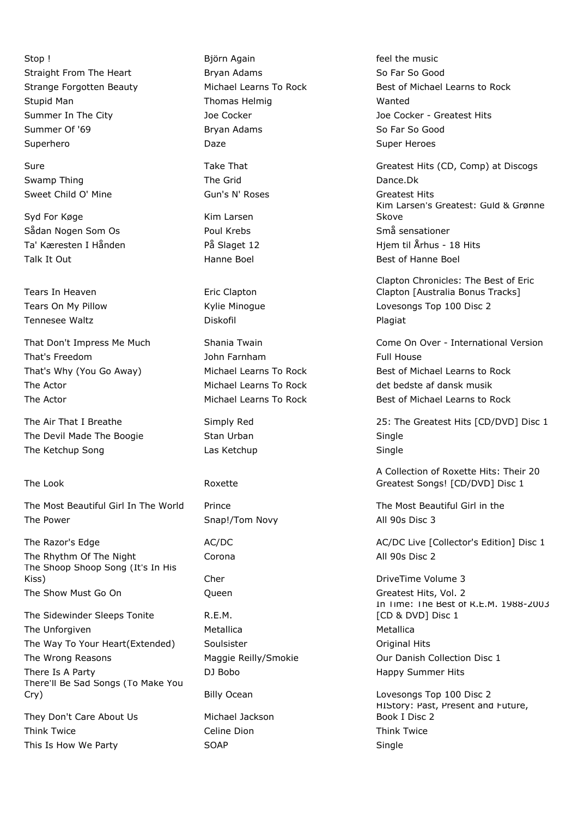Stop ! Björn Again **Example 2018** Björn Again **feel the music** Straight From The Heart **Bryan Adams** Bryan Adams So Far So Good Stupid Man Thomas Helmig Wanted Summer Of '69 Bryan Adams So Far So Good Superhero **Super Heroes** Daze **Daze Contract Super Heroes** Super Heroes

Swamp Thing The Grid The Grid Dance.Dk Sweet Child O' Mine Company Gun's N' Roses Child O' Mine Greatest Hits

Syd For Køge Kim Larsen Sådan Nogen Som Os Som Som Boul Krebs Som Som Som Sensationer Talk It Out **South Accord Boel** Hanne Boel **Best of Hanne Boel** Best of Hanne Boel

Tears In Heaven **Example 20** Eric Clapton Tennesee Waltz **Diskofil** Diskofil **Plagiat** Plagiat

That's Freedom That's Freedom and The Tomorrow John Farnham That's Freedom Full House The Actor **Michael Learns To Rock** det bedste af dansk musik

The Devil Made The Boogie **Stan Urban** Stan Single The Ketchup Song **Single Single Single** Las Ketchup Single Single

The Look **Roxette** 

The Most Beautiful Girl In The World Prince The Most Beautiful Girl in the Most Beautiful Girl in the The Power Snap!/Tom Novy All 90s Disc 3

The Rhythm Of The Night Corona **Corona** Corona All 90s Disc 2 The Shoop Shoop Song (It's In His Kiss) Cher Cher DriveTime Volume 3 The Show Must Go On **Concerned Con** Queen Construction Construction Greatest Hits, Vol. 2

The Sidewinder Sleeps Tonite **R.E.M.** The Unforgiven and Metallica Metallica and Metallica Metallica The Way To Your Heart(Extended) Soulsister Subsetted Area Conditional Hits The Wrong Reasons **Maggie Reilly/Smokie** Our Danish Collection Disc 1 There Is A Party **There Is A Party CONS CONS CONS CONS CONS CONS CONS CONS CONS CONS CONS CONS CONS CONS CONS CONS CONS CONS CONS CONS CONS CONS CONS CONS CONS CONS CON** There'll Be Sad Songs (To Make You

Cry) Billy Ocean Lovesongs Top 100 Disc 2

They Don't Care About Us Michael Jackson Think Twice **The Celine Dion** Celine Dion **Think Twice** Think Twice This Is How We Party **SOAP** SOAP Single

Strange Forgotten Beauty Michael Learns To Rock Best of Michael Learns to Rock Summer In The City **Summer In The City** Joe Cocker Joe Cocker - Greatest Hits

Sure Take That Greatest Hits (CD, Comp) at Discogs Greatest Hits (CD, Comp) at Discogs Kim Larsen's Greatest: Guld & Grønne Skove Ta' Kæresten I Hånden På Slaget 12 Hjem til Århus - 18 Hits

Clapton Chronicles: The Best of Eric Clapton [Australia Bonus Tracks] Tears On My Pillow Kylie Minogue Lovesongs Top 100 Disc 2

That Don't Impress Me Much Shania Twain Come On Over - International Version That's Why (You Go Away) Michael Learns To Rock Best of Michael Learns to Rock The Actor **Michael Learns To Rock** Best of Michael Learns to Rock

The Air That I Breathe Simply Red 25: The Greatest Hits [CD/DVD] Disc 1

A Collection of Roxette Hits: Their 20 Greatest Songs! [CD/DVD] Disc 1

The Razor's Edge **AC/DC** AC/DC AC/DC AC/DC AC/DC Live [Collector's Edition] Disc 1

In Time: The Best of R.E.M. 1988-2003 [CD & DVD] Disc 1

HIStory: Past, Present and Future, Book I Disc 2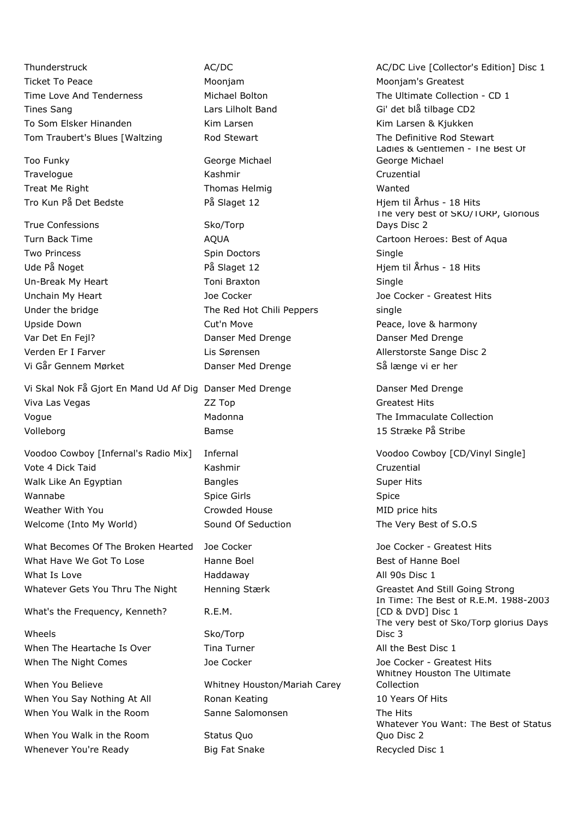Ticket To Peace Moonjam Moonjam's Greatest Time Love And Tenderness The Michael Bolton The Ultimate Collection - CD 1 Tines Sang The Sang Lars Lilholt Band Gi' det blå tilbage CD2 To Som Elsker Hinanden Kim Larsen Kim Larsen & Kjukken Tom Traubert's Blues [Waltzing The Definitive Rod Stewart The Definitive Rod Stewart

Too Funky George Michael Travelogue **Contract Contract Contract Contract Contract Contract Contract Contract Cruzential** Treat Me Right Thomas Helmig Wanted

True Confessions Sko/Torp

Vi Skal Nok Få Gjort En Mand Ud Af Dig Danser Med Drenge Danser Med Drenge Viva Las Vegas Company Call 22 Top Company Company Greatest Hits Voque **Madonna** Madonna The Immaculate Collection Volleborg Bamse 15 Stræke På Stribe

Vote 4 Dick Taid **Kashmir** Kashmir **Cruzential** Cruzential Walk Like An Egyptian **Bangles** Bangles **Super Hits** Super Hits Wannabe Spice Girls Spice Weather With You **Crowded House** MID price hits Crowded House Welcome (Into My World) Sound Of Seduction The Very Best of S.O.S

What Becomes Of The Broken Hearted Joe Cocker **Joe Cocker - Greatest Hits** Joe Cocker - Greatest Hits What Have We Got To Lose **Hanne Boel** Boel Best of Hanne Boel What Is Love **All 90s Disc 1** and Haddaway **All 90s Disc 1** Whatever Gets You Thru The Night Henning Stærk Greastet And Still Going Strong

What's the Frequency, Kenneth? R.E.M.

Wheels Sko/Torp When The Heartache Is Over Tina Turner All the Best Disc 1 When The Night Comes The Socker Joe Cocker Joe Cocker Joe Cocker - Greatest Hits

When You Walk in the Room Status Quo Whenever You're Ready **Big Fat Snake** Recycled Disc 1

**Two Princess Spin Doctors Spin Doctors** Single Ude På Noget På Slaget 12 Hjem til Århus - 18 Hits Un-Break My Heart **Toni Braxton** Single Under the bridge The Red Hot Chili Peppers single Upside Down **Cut'n Move Cuttin Move** Peace, love & harmony Var Det En Fejl? Danser Med Drenge Danser Med Drenge Verden Er I Farver Lis Sørensen Allerstorste Sange Disc 2 Vi Går Gennem Mørket **Danser Med Drenge** Så længe vi er her

When You Believe Whitney Houston/Mariah Carey When You Say Nothing At All **Ronan Keating 10 Years Of Hits** 10 Years Of Hits When You Walk in the Room Sanne Salomonsen Sanne The Hits

Thunderstruck **AC/DC** AC/DC AC/DC AC/DC AC/DC AC/DC Live [Collector's Edition] Disc 1 Ladies & Gentlemen - The Best Of George Michael Tro Kun På Det Bedste **På Slaget 12** Hjem til Århus - 18 Hits The very best of SKO/TORP, Glorious Days Disc 2 Turn Back Time **AQUA** AQUA Cartoon Heroes: Best of Aqua Unchain My Heart **Joe Cocker** Joe Cocker **Joe Cocker** Joe Cocker - Greatest Hits

Voodoo Cowboy [Infernal's Radio Mix] Infernal Voodoo Cowboy [CD/Vinyl Single]

In Time: The Best of R.E.M. 1988-2003 [CD & DVD] Disc 1 The very best of Sko/Torp glorius Days Disc 3 Whitney Houston The Ultimate Collection Whatever You Want: The Best of Status Quo Disc 2